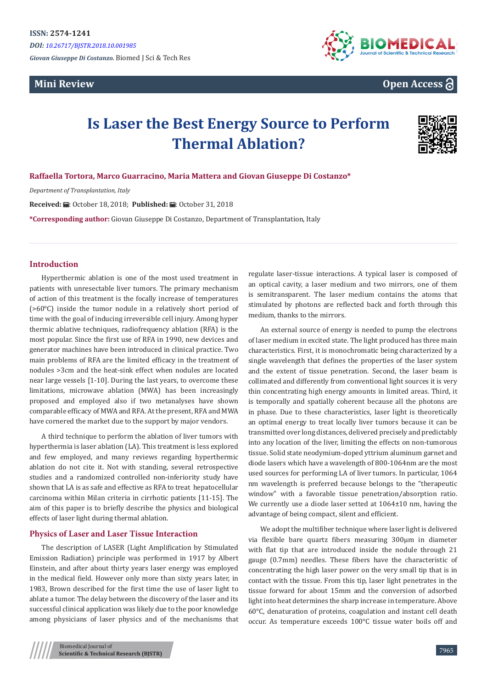*DOI: [10.26717/BJSTR.2018.10.001985](http://dx.doi.org/10.26717/BJSTR.2018.10.001985)* 

*Giovan Giuseppe Di Costanzo.* Biomed J Sci & Tech Res

# **Mini Review**



**Open Access**

# **Is Laser the Best Energy Source to Perform Thermal Ablation?**



## **Raffaella Tortora, Marco Guarracino, Maria Mattera and Giovan Giuseppe Di Costanzo\***

*Department of Transplantation, Italy*

Received: *a* : October 18, 2018; Published: a : October 31, 2018

**\*Corresponding author:** Giovan Giuseppe Di Costanzo, Department of Transplantation, Italy

### **Introduction**

Hyperthermic ablation is one of the most used treatment in patients with unresectable liver tumors. The primary mechanism of action of this treatment is the focally increase of temperatures (>60°C) inside the tumor nodule in a relatively short period of time with the goal of inducing irreversible cell injury. Among hyper thermic ablative techniques, radiofrequency ablation (RFA) is the most popular. Since the first use of RFA in 1990, new devices and generator machines have been introduced in clinical practice. Two main problems of RFA are the limited efficacy in the treatment of nodules >3cm and the heat-sink effect when nodules are located near large vessels [1-10]. During the last years, to overcome these limitations, microwave ablation (MWA) has been increasingly proposed and employed also if two metanalyses have shown comparable efficacy of MWA and RFA. At the present, RFA and MWA have cornered the market due to the support by major vendors.

A third technique to perform the ablation of liver tumors with hyperthermia is laser ablation (LA). This treatment is less explored and few employed, and many reviews regarding hyperthermic ablation do not cite it. Not with standing, several retrospective studies and a randomized controlled non-inferiority study have shown that LA is as safe and effective as RFA to treat hepatocellular carcinoma within Milan criteria in cirrhotic patients [11-15]. The aim of this paper is to briefly describe the physics and biological effects of laser light during thermal ablation.

#### **Physics of Laser and Laser Tissue Interaction**

The description of LASER (Light Amplification by Stimulated Emission Radiation) principle was performed in 1917 by Albert Einstein, and after about thirty years laser energy was employed in the medical field. However only more than sixty years later, in 1983, Brown described for the first time the use of laser light to ablate a tumor. The delay between the discovery of the laser and its successful clinical application was likely due to the poor knowledge among physicians of laser physics and of the mechanisms that regulate laser-tissue interactions. A typical laser is composed of an optical cavity, a laser medium and two mirrors, one of them is semitransparent. The laser medium contains the atoms that stimulated by photons are reflected back and forth through this medium, thanks to the mirrors.

An external source of energy is needed to pump the electrons of laser medium in excited state. The light produced has three main characteristics. First, it is monochromatic being characterized by a single wavelength that defines the properties of the laser system and the extent of tissue penetration. Second, the laser beam is collimated and differently from conventional light sources it is very thin concentrating high energy amounts in limited areas. Third, it is temporally and spatially coherent because all the photons are in phase. Due to these characteristics, laser light is theoretically an optimal energy to treat locally liver tumors because it can be transmitted over long distances, delivered precisely and predictably into any location of the liver, limiting the effects on non-tumorous tissue. Solid state neodymium-doped yttrium aluminum garnet and diode lasers which have a wavelength of 800-1064nm are the most used sources for performing LA of liver tumors. In particular, 1064 nm wavelength is preferred because belongs to the "therapeutic window" with a favorable tissue penetration/absorption ratio. We currently use a diode laser setted at  $1064\pm10$  nm, having the advantage of being compact, silent and efficient.

We adopt the multifiber technique where laser light is delivered via flexible bare quartz fibers measuring 300µm in diameter with flat tip that are introduced inside the nodule through 21 gauge (0.7mm) needles. These fibers have the characteristic of concentrating the high laser power on the very small tip that is in contact with the tissue. From this tip, laser light penetrates in the tissue forward for about 15mm and the conversion of adsorbed light into heat determines the sharp increase in temperature. Above 60°C, denaturation of proteins, coagulation and instant cell death occur. As temperature exceeds 100°C tissue water boils off and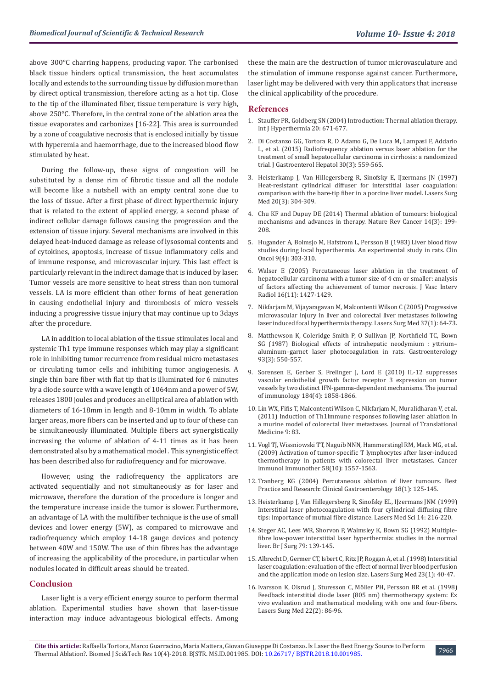above 300°C charring happens, producing vapor. The carbonised black tissue hinders optical transmission, the heat accumulates locally and extends to the surrounding tissue by diffusion more than by direct optical transmission, therefore acting as a hot tip. Close to the tip of the illuminated fiber, tissue temperature is very high, above 250°C. Therefore, in the central zone of the ablation area the tissue evaporates and carbonizes [16-22]. This area is surrounded by a zone of coagulative necrosis that is enclosed initially by tissue with hyperemia and haemorrhage, due to the increased blood flow stimulated by heat.

During the follow-up, these signs of congestion will be substituted by a dense rim of fibrotic tissue and all the nodule will become like a nutshell with an empty central zone due to the loss of tissue. After a first phase of direct hyperthermic injury that is related to the extent of applied energy, a second phase of indirect cellular damage follows causing the progression and the extension of tissue injury. Several mechanisms are involved in this delayed heat-induced damage as release of lysosomal contents and of cytokines, apoptosis, increase of tissue inflammatory cells and of immune response, and microvascular injury. This last effect is particularly relevant in the indirect damage that is induced by laser. Tumor vessels are more sensitive to heat stress than non tumoral vessels. LA is more efficient than other forms of heat generation in causing endothelial injury and thrombosis of micro vessels inducing a progressive tissue injury that may continue up to 3days after the procedure.

LA in addition to local ablation of the tissue stimulates local and systemic Th1 type immune responses which may play a significant role in inhibiting tumor recurrence from residual micro metastases or circulating tumor cells and inhibiting tumor angiogenesis. A single thin bare fiber with flat tip that is illuminated for 6 minutes by a diode source with a wave length of 1064nm and a power of 5W, releases 1800 joules and produces an elliptical area of ablation with diameters of 16-18mm in length and 8-10mm in width. To ablate larger areas, more fibers can be inserted and up to four of these can be simultaneously illuminated. Multiple fibers act synergistically increasing the volume of ablation of 4-11 times as it has been demonstrated also by a mathematical model . This synergistic effect has been described also for radiofrequency and for microwave.

However, using the radiofrequency the applicators are activated sequentially and not simultaneously as for laser and microwave, therefore the duration of the procedure is longer and the temperature increase inside the tumor is slower. Furthermore, an advantage of LA with the multifiber technique is the use of small devices and lower energy (5W), as compared to microwave and radiofrequency which employ 14-18 gauge devices and potency between 40W and 150W. The use of thin fibres has the advantage of increasing the applicability of the procedure, in particular when nodules located in difficult areas should be treated.

#### **Conclusion**

Laser light is a very efficient energy source to perform thermal ablation. Experimental studies have shown that laser-tissue interaction may induce advantageous biological effects. Among these the main are the destruction of tumor microvasculature and the stimulation of immune response against cancer. Furthermore, laser light may be delivered with very thin applicators that increase the clinical applicability of the procedure.

#### **References**

- 1. [Stauffer PR, Goldberg SN \(2004\) Introduction: Thermal ablation therapy.](https://www.tandfonline.com/doi/abs/10.1080/02656730400007220) [Int J Hyperthermia 20: 671-677.](https://www.tandfonline.com/doi/abs/10.1080/02656730400007220)
- 2. [Di Costanzo GG, Tortora R, D Adamo G, De Luca M, Lampasi F, Addario](https://www.ncbi.nlm.nih.gov/pubmed/25251043) [L, et al. \(2015\) Radiofrequency ablation versus laser ablation for the](https://www.ncbi.nlm.nih.gov/pubmed/25251043) [treatment of small hepatocellular carcinoma in cirrhosis: a randomized](https://www.ncbi.nlm.nih.gov/pubmed/25251043) [trial. J Gastroenterol Hepatol 30\(3\): 559-565.](https://www.ncbi.nlm.nih.gov/pubmed/25251043)
- 3. [Heisterkamp J, Van Hillegersberg R, Sinofsky E, IJzermans JN \(1997\)](https://www.ncbi.nlm.nih.gov/pubmed/9138259) [Heat-resistant cylindrical diffuser for interstitial laser coagulation:](https://www.ncbi.nlm.nih.gov/pubmed/9138259) [comparison with the bare-tip fiber in a porcine liver model. Lasers Surg](https://www.ncbi.nlm.nih.gov/pubmed/9138259) [Med 20\(3\): 304-309.](https://www.ncbi.nlm.nih.gov/pubmed/9138259)
- 4. [Chu KF and Dupuy DE \(2014\) Thermal ablation of tumours: biological](https://www.ncbi.nlm.nih.gov/pubmed/24561446) [mechanisms and advances in therapy. Nature Rev Cancer 14\(3\): 199-](https://www.ncbi.nlm.nih.gov/pubmed/24561446) [208.](https://www.ncbi.nlm.nih.gov/pubmed/24561446)
- 5. [Hugander A, Bolmsjo M, Hafstrom L, Persson B \(1983\) Liver blood flow](https://www.ncbi.nlm.nih.gov/pubmed/6661853) [studies during local hyperthermia. An experimental study in rats. Clin](https://www.ncbi.nlm.nih.gov/pubmed/6661853) [Oncol 9\(4\): 303-310.](https://www.ncbi.nlm.nih.gov/pubmed/6661853)
- 6. [Walser E \(2005\) Percutaneous laser ablation in the treatment of](https://www.ncbi.nlm.nih.gov/pubmed/16319150) [hepatocellular carcinoma with a tumor size of 4 cm or smaller: analysis](https://www.ncbi.nlm.nih.gov/pubmed/16319150) [of factors affecting the achievement of tumor necrosis. J Vasc Interv](https://www.ncbi.nlm.nih.gov/pubmed/16319150) [Radiol 16\(11\): 1427-1429.](https://www.ncbi.nlm.nih.gov/pubmed/16319150)
- 7. [Nikfarjam M, Vijayaragavan M, Malcontenti Wilson C \(2005\) Progressive](https://www.ncbi.nlm.nih.gov/pubmed/15954121) [microvascular injury in liver and colorectal liver metastases following](https://www.ncbi.nlm.nih.gov/pubmed/15954121) [laser induced focal hyperthermia therapy. Lasers Surg Med 37\(1\): 64-73.](https://www.ncbi.nlm.nih.gov/pubmed/15954121)
- 8. [Matthewson K, Coleridge Smith P, O Sullivan JP, Northfield TC, Bown](https://www.ncbi.nlm.nih.gov/pubmed/3609664) [SG \(1987\) Biological effects of intrahepatic neodymium : yttrium–](https://www.ncbi.nlm.nih.gov/pubmed/3609664) [aluminum–garnet laser photocoagulation in rats. Gastroenterology](https://www.ncbi.nlm.nih.gov/pubmed/3609664) [93\(3\): 550-557.](https://www.ncbi.nlm.nih.gov/pubmed/3609664)
- 9. [Sorensen E, Gerber S, Frelinger J, Lord E \(2010\) IL-12 suppresses](https://www.ncbi.nlm.nih.gov/pubmed/20061409) [vascular endothelial growth factor receptor 3 expression on tumor](https://www.ncbi.nlm.nih.gov/pubmed/20061409) [vessels by two distinct IFN-gamma-dependent mechanisms. The journal](https://www.ncbi.nlm.nih.gov/pubmed/20061409) [of immunology 184\(4\): 1858-1866.](https://www.ncbi.nlm.nih.gov/pubmed/20061409)
- 10. [Lin WX, Fifis T, Malcontenti Wilson C, Nikfarjam M, Muralidharan V, et al.](https://www.ncbi.nlm.nih.gov/pmc/articles/PMC3123581/) [\(2011\) Induction of Th1Immune responses following laser ablation in](https://www.ncbi.nlm.nih.gov/pmc/articles/PMC3123581/) [a murine model of colorectal liver metastases. Journal of Translational](https://www.ncbi.nlm.nih.gov/pmc/articles/PMC3123581/) [Medicine 9: 83.](https://www.ncbi.nlm.nih.gov/pmc/articles/PMC3123581/)
- 11. [Vogl TJ, Wissniowski TT, Naguib NNN, Hammerstingl RM, Mack MG, et al.](https://link.springer.com/article/10.1007/s00262-009-0663-1) [\(2009\) Activation of tumor-specific T lymphocytes after laser-induced](https://link.springer.com/article/10.1007/s00262-009-0663-1) [thermotherapy in patients with colorectal liver metastases. Cancer](https://link.springer.com/article/10.1007/s00262-009-0663-1) [Immunol Immunother 58\(10\): 1557-1563.](https://link.springer.com/article/10.1007/s00262-009-0663-1)
- 12. [Tranberg KG \(2004\) Percutaneous ablation of liver tumours. Best](https://www.ncbi.nlm.nih.gov/pubmed/15123088) [Practice and Research: Clinical Gastroenterology 18\(1\): 125-145.](https://www.ncbi.nlm.nih.gov/pubmed/15123088)
- 13. [Heisterkamp J, Van Hillegersberg R, Sinofsky EL, IJzermans JNM \(1999\)](https://link.springer.com/article/10.1007/s101030050087) [Interstitial laser photocoagulation with four cylindrical diffusing fibre](https://link.springer.com/article/10.1007/s101030050087) [tips: importance of mutual fibre distance. Lasers Med Sci 14: 216-220.](https://link.springer.com/article/10.1007/s101030050087)
- 14. [Steger AC, Lees WR, Shorvon P, Walmsley K, Bown SG \(1992\) Multiple](https://www.ncbi.nlm.nih.gov/pubmed/1555062)[fibre low-power interstitial laser hyperthermia: studies in the normal](https://www.ncbi.nlm.nih.gov/pubmed/1555062) [liver. Br J Surg 79: 139-145.](https://www.ncbi.nlm.nih.gov/pubmed/1555062)
- 15. [Albrecht D, Germer CT, Isbert C, Ritz JP, Roggan A, et al. \(1998\) Interstitial](https://www.ncbi.nlm.nih.gov/pubmed/9694149) [laser coagulation: evaluation of the effect of normal liver blood perfusion](https://www.ncbi.nlm.nih.gov/pubmed/9694149) [and the application mode on lesion size. Lasers Surg Med 23\(1\): 40-47.](https://www.ncbi.nlm.nih.gov/pubmed/9694149)
- 16. [Ivarsson K, Olsrud J, Sturesson C, Möller PH, Persson BR et al. \(1998\)](https://www.ncbi.nlm.nih.gov/pubmed/9484701) [Feedback interstitial diode laser \(805 nm\) thermotherapy system: Ex](https://www.ncbi.nlm.nih.gov/pubmed/9484701) [vivo evaluation and mathematical modeling with one and four-fibers.](https://www.ncbi.nlm.nih.gov/pubmed/9484701) [Lasers Surg Med 22\(2\): 86-96.](https://www.ncbi.nlm.nih.gov/pubmed/9484701)